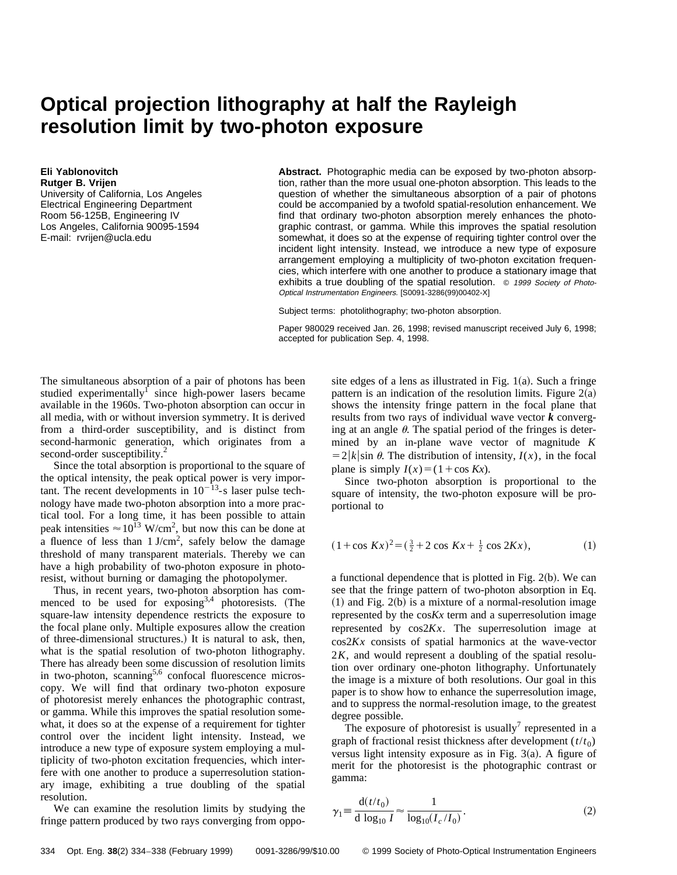## **Optical projection lithography at half the Rayleigh resolution limit by two-photon exposure**

**Eli Yablonovitch Rutger B. Vrijen** University of California, Los Angeles Electrical Engineering Department Room 56-125B, Engineering IV Los Angeles, California 90095-1594 E-mail: rvrijen@ucla.edu

**Abstract.** Photographic media can be exposed by two-photon absorption, rather than the more usual one-photon absorption. This leads to the question of whether the simultaneous absorption of a pair of photons could be accompanied by a twofold spatial-resolution enhancement. We find that ordinary two-photon absorption merely enhances the photographic contrast, or gamma. While this improves the spatial resolution somewhat, it does so at the expense of requiring tighter control over the incident light intensity. Instead, we introduce a new type of exposure arrangement employing a multiplicity of two-photon excitation frequencies, which interfere with one another to produce a stationary image that exhibits a true doubling of the spatial resolution. © 1999 Society of Photo-Optical Instrumentation Engineers. [S0091-3286(99)00402-X]

Subject terms: photolithography; two-photon absorption.

Paper 980029 received Jan. 26, 1998; revised manuscript received July 6, 1998; accepted for publication Sep. 4, 1998.

The simultaneous absorption of a pair of photons has been studied experimentally since high-power lasers became available in the 1960s. Two-photon absorption can occur in all media, with or without inversion symmetry. It is derived from a third-order susceptibility, and is distinct from second-harmonic generation, which originates from a second-order susceptibility.<sup>2</sup>

Since the total absorption is proportional to the square of the optical intensity, the peak optical power is very important. The recent developments in  $10^{-13}$ -s laser pulse technology have made two-photon absorption into a more practical tool. For a long time, it has been possible to attain peak intensities  $\approx 10^{13}$  W/cm<sup>2</sup>, but now this can be done at a fluence of less than  $1 \text{ J/cm}^2$ , safely below the damage threshold of many transparent materials. Thereby we can have a high probability of two-photon exposure in photoresist, without burning or damaging the photopolymer.

Thus, in recent years, two-photon absorption has commenced to be used for exposing $3,4$  photoresists. (The square-law intensity dependence restricts the exposure to the focal plane only. Multiple exposures allow the creation of three-dimensional structures.) It is natural to ask, then, what is the spatial resolution of two-photon lithography. There has already been some discussion of resolution limits in two-photon, scanning<sup>5,6</sup> confocal fluorescence microscopy. We will find that ordinary two-photon exposure of photoresist merely enhances the photographic contrast, or gamma. While this improves the spatial resolution somewhat, it does so at the expense of a requirement for tighter control over the incident light intensity. Instead, we introduce a new type of exposure system employing a multiplicity of two-photon excitation frequencies, which interfere with one another to produce a superresolution stationary image, exhibiting a true doubling of the spatial resolution.

We can examine the resolution limits by studying the fringe pattern produced by two rays converging from opposite edges of a lens as illustrated in Fig.  $1(a)$ . Such a fringe pattern is an indication of the resolution limits. Figure  $2(a)$ shows the intensity fringe pattern in the focal plane that results from two rays of individual wave vector *k* converging at an angle  $\theta$ . The spatial period of the fringes is determined by an in-plane wave vector of magnitude *K*  $=2\vert k \vert \sin \theta$ . The distribution of intensity,  $I(x)$ , in the focal plane is simply  $I(x) = (1 + \cos Kx)$ .

Since two-photon absorption is proportional to the square of intensity, the two-photon exposure will be proportional to

$$
(1 + \cos Kx)^2 = (\frac{3}{2} + 2 \cos Kx + \frac{1}{2} \cos 2Kx),
$$
 (1)

a functional dependence that is plotted in Fig.  $2(b)$ . We can see that the fringe pattern of two-photon absorption in Eq.  $(1)$  and Fig. 2(b) is a mixture of a normal-resolution image represented by the cos*Kx* term and a superresolution image represented by cos2*Kx*. The superresolution image at cos2*Kx* consists of spatial harmonics at the wave-vector 2*K*, and would represent a doubling of the spatial resolution over ordinary one-photon lithography. Unfortunately the image is a mixture of both resolutions. Our goal in this paper is to show how to enhance the superresolution image, and to suppress the normal-resolution image, to the greatest degree possible.

The exposure of photoresist is usually<sup>7</sup> represented in a graph of fractional resist thickness after development  $(t/t_0)$ versus light intensity exposure as in Fig.  $3(a)$ . A figure of merit for the photoresist is the photographic contrast or gamma:

$$
\gamma_1 \equiv \frac{d(t/t_0)}{d \log_{10} I} \approx \frac{1}{\log_{10}(I_c/I_0)}.
$$
\n(2)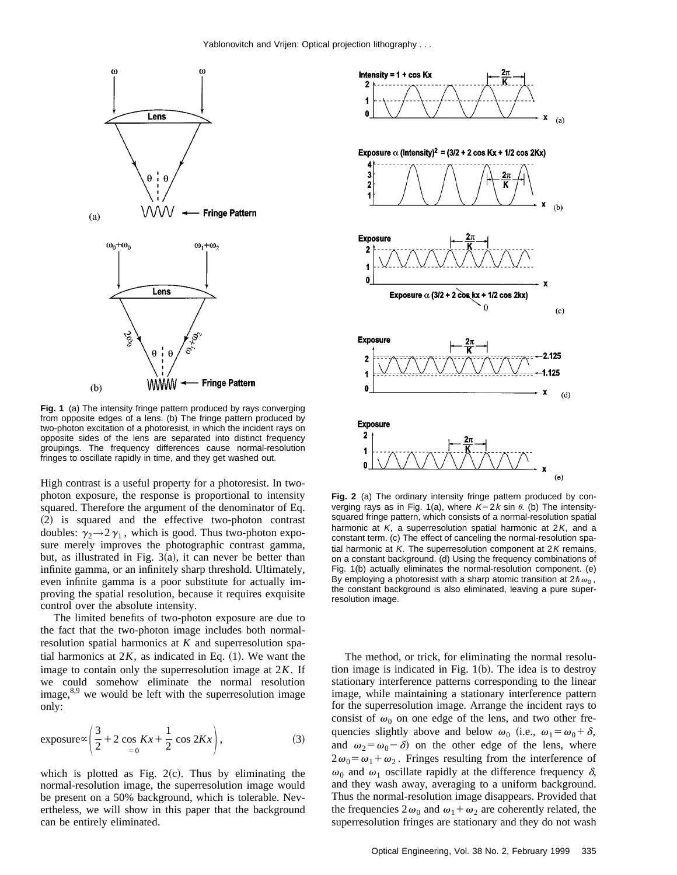

**Fig. 1** (a) The intensity fringe pattern produced by rays converging from opposite edges of a lens. (b) The fringe pattern produced by two-photon excitation of a photoresist, in which the incident rays on opposite sides of the lens are separated into distinct frequency groupings. The frequency differences cause normal-resolution fringes to oscillate rapidly in time, and they get washed out.

High contrast is a useful property for a photoresist. In twophoton exposure, the response is proportional to intensity squared. Therefore the argument of the denominator of Eq. ~2! is squared and the effective two-photon contrast doubles:  $\gamma_2 \rightarrow 2\gamma_1$ , which is good. Thus two-photon exposure merely improves the photographic contrast gamma, but, as illustrated in Fig.  $3(a)$ , it can never be better than infinite gamma, or an infinitely sharp threshold. Ultimately, even infinite gamma is a poor substitute for actually improving the spatial resolution, because it requires exquisite control over the absolute intensity.

The limited benefits of two-photon exposure are due to the fact that the two-photon image includes both normalresolution spatial harmonics at *K* and superresolution spatial harmonics at  $2K$ , as indicated in Eq.  $(1)$ . We want the image to contain only the superresolution image at 2*K*. If we could somehow eliminate the normal resolution image, $8.9$  we would be left with the superresolution image only:

$$
\text{exposure} \propto \left(\frac{3}{2} + 2\cos Kx + \frac{1}{2}\cos 2Kx\right),\tag{3}
$$

which is plotted as Fig.  $2(c)$ . Thus by eliminating the normal-resolution image, the superresolution image would be present on a 50% background, which is tolerable. Nevertheless, we will show in this paper that the background can be entirely eliminated.



**Fig. 2** (a) The ordinary intensity fringe pattern produced by converging rays as in Fig. 1(a), where  $K=2k$  sin  $\theta$ . (b) The intensitysquared fringe pattern, which consists of a normal-resolution spatial harmonic at  $K$ , a superresolution spatial harmonic at  $2K$ , and a constant term. (c) The effect of canceling the normal-resolution spatial harmonic at  $K$ . The superresolution component at  $2K$  remains, on a constant background. (d) Using the frequency combinations of Fig. 1(b) actually eliminates the normal-resolution component. (e) By employing a photoresist with a sharp atomic transition at  $2\hbar\omega_0$ , the constant background is also eliminated, leaving a pure superresolution image.

The method, or trick, for eliminating the normal resolution image is indicated in Fig.  $1(b)$ . The idea is to destroy stationary interference patterns corresponding to the linear image, while maintaining a stationary interference pattern for the superresolution image. Arrange the incident rays to consist of  $\omega_0$  on one edge of the lens, and two other frequencies slightly above and below  $\omega_0$  (i.e.,  $\omega_1 = \omega_0 + \delta$ , and  $\omega_2 = \omega_0 - \delta$  on the other edge of the lens, where  $2\omega_0 = \omega_1 + \omega_2$ . Fringes resulting from the interference of  $\omega_0$  and  $\omega_1$  oscillate rapidly at the difference frequency  $\delta$ , and they wash away, averaging to a uniform background. Thus the normal-resolution image disappears. Provided that the frequencies  $2\omega_0$  and  $\omega_1+\omega_2$  are coherently related, the superresolution fringes are stationary and they do not wash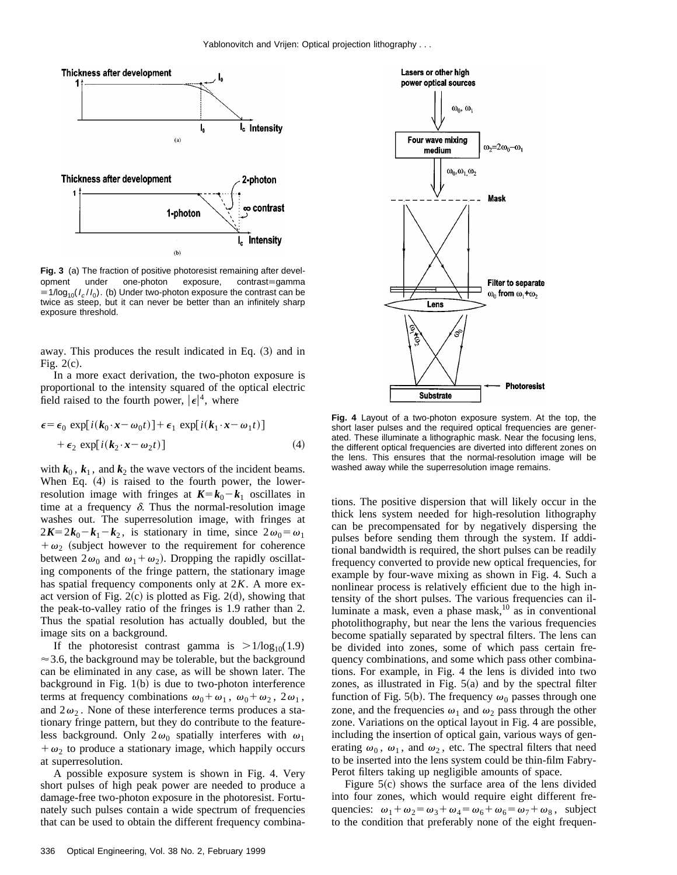

**Fig. 3** (a) The fraction of positive photoresist remaining after development under one-photon exposure, contrast=gamma  $\equiv$  1/log<sub>10</sub>( $I_c / I_0$ ). (b) Under two-photon exposure the contrast can be twice as steep, but it can never be better than an infinitely sharp exposure threshold.

away. This produces the result indicated in Eq.  $(3)$  and in Fig.  $2(c)$ .

In a more exact derivation, the two-photon exposure is proportional to the intensity squared of the optical electric field raised to the fourth power,  $|\epsilon|^4$ , where

$$
\epsilon = \epsilon_0 \exp[i(\mathbf{k}_0 \cdot \mathbf{x} - \omega_0 t)] + \epsilon_1 \exp[i(\mathbf{k}_1 \cdot \mathbf{x} - \omega_1 t)]
$$
  
+ 
$$
\epsilon_2 \exp[i(\mathbf{k}_2 \cdot \mathbf{x} - \omega_2 t)]
$$
 (4)

with  $k_0$ ,  $k_1$ , and  $k_2$  the wave vectors of the incident beams. When Eq.  $(4)$  is raised to the fourth power, the lowerresolution image with fringes at  $K = k_0 - k_1$  oscillates in time at a frequency  $\delta$ . Thus the normal-resolution image washes out. The superresolution image, with fringes at  $2K=2k_0-k_1-k_2$ , is stationary in time, since  $2\omega_0=\omega_1$  $+\omega_2$  (subject however to the requirement for coherence between  $2\omega_0$  and  $\omega_1+\omega_2$ . Dropping the rapidly oscillating components of the fringe pattern, the stationary image has spatial frequency components only at 2*K*. A more exact version of Fig.  $2(c)$  is plotted as Fig. 2 $(d)$ , showing that the peak-to-valley ratio of the fringes is 1.9 rather than 2. Thus the spatial resolution has actually doubled, but the image sits on a background.

If the photoresist contrast gamma is  $>1/\log_{10}(1.9)$  $\approx$  3.6, the background may be tolerable, but the background can be eliminated in any case, as will be shown later. The background in Fig.  $1(b)$  is due to two-photon interference terms at frequency combinations  $\omega_0 + \omega_1$ ,  $\omega_0 + \omega_2$ ,  $2\omega_1$ , and  $2\omega_2$ . None of these interference terms produces a stationary fringe pattern, but they do contribute to the featureless background. Only  $2\omega_0$  spatially interferes with  $\omega_1$  $+\omega_2$  to produce a stationary image, which happily occurs at superresolution.

A possible exposure system is shown in Fig. 4. Very short pulses of high peak power are needed to produce a damage-free two-photon exposure in the photoresist. Fortunately such pulses contain a wide spectrum of frequencies that can be used to obtain the different frequency combina-



**Fig. 4** Layout of a two-photon exposure system. At the top, the short laser pulses and the required optical frequencies are generated. These illuminate a lithographic mask. Near the focusing lens, the different optical frequencies are diverted into different zones on the lens. This ensures that the normal-resolution image will be washed away while the superresolution image remains.

tions. The positive dispersion that will likely occur in the thick lens system needed for high-resolution lithography can be precompensated for by negatively dispersing the pulses before sending them through the system. If additional bandwidth is required, the short pulses can be readily frequency converted to provide new optical frequencies, for example by four-wave mixing as shown in Fig. 4. Such a nonlinear process is relatively efficient due to the high intensity of the short pulses. The various frequencies can illuminate a mask, even a phase mask, $10$  as in conventional photolithography, but near the lens the various frequencies become spatially separated by spectral filters. The lens can be divided into zones, some of which pass certain frequency combinations, and some which pass other combinations. For example, in Fig. 4 the lens is divided into two zones, as illustrated in Fig.  $5(a)$  and by the spectral filter function of Fig. 5(b). The frequency  $\omega_0$  passes through one zone, and the frequencies  $\omega_1$  and  $\omega_2$  pass through the other zone. Variations on the optical layout in Fig. 4 are possible, including the insertion of optical gain, various ways of generating  $\omega_0$ ,  $\omega_1$ , and  $\omega_2$ , etc. The spectral filters that need to be inserted into the lens system could be thin-film Fabry-Perot filters taking up negligible amounts of space.

Figure  $5(c)$  shows the surface area of the lens divided into four zones, which would require eight different frequencies:  $\omega_1 + \omega_2 = \omega_3 + \omega_4 = \omega_6 + \omega_6 = \omega_7 + \omega_8$ , subject to the condition that preferably none of the eight frequen-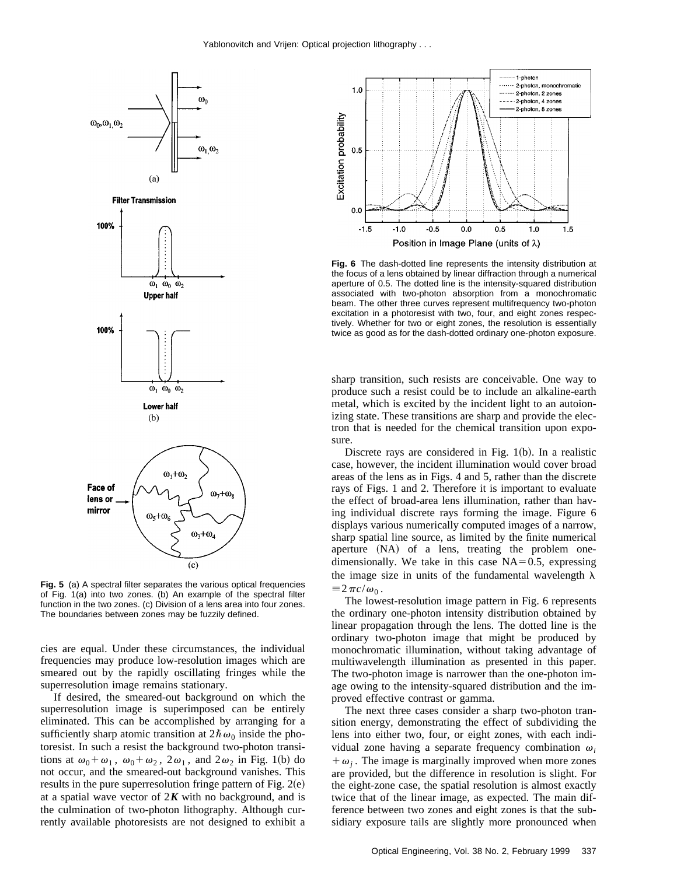

**Fig. 5** (a) A spectral filter separates the various optical frequencies of Fig. 1(a) into two zones. (b) An example of the spectral filter function in the two zones. (c) Division of a lens area into four zones. The boundaries between zones may be fuzzily defined.

cies are equal. Under these circumstances, the individual frequencies may produce low-resolution images which are smeared out by the rapidly oscillating fringes while the superresolution image remains stationary.

If desired, the smeared-out background on which the superresolution image is superimposed can be entirely eliminated. This can be accomplished by arranging for a sufficiently sharp atomic transition at  $2\hbar\omega_0$  inside the photoresist. In such a resist the background two-photon transitions at  $\omega_0 + \omega_1$ ,  $\omega_0 + \omega_2$ ,  $2\omega_1$ , and  $2\omega_2$  in Fig. 1(b) do not occur, and the smeared-out background vanishes. This results in the pure superresolution fringe pattern of Fig.  $2(e)$ at a spatial wave vector of  $2K$  with no background, and is the culmination of two-photon lithography. Although currently available photoresists are not designed to exhibit a



**Fig. 6** The dash-dotted line represents the intensity distribution at the focus of a lens obtained by linear diffraction through a numerical aperture of 0.5. The dotted line is the intensity-squared distribution associated with two-photon absorption from a monochromatic beam. The other three curves represent multifrequency two-photon excitation in a photoresist with two, four, and eight zones respectively. Whether for two or eight zones, the resolution is essentially twice as good as for the dash-dotted ordinary one-photon exposure.

sharp transition, such resists are conceivable. One way to produce such a resist could be to include an alkaline-earth metal, which is excited by the incident light to an autoionizing state. These transitions are sharp and provide the electron that is needed for the chemical transition upon exposure.

Discrete rays are considered in Fig.  $1(b)$ . In a realistic case, however, the incident illumination would cover broad areas of the lens as in Figs. 4 and 5, rather than the discrete rays of Figs. 1 and 2. Therefore it is important to evaluate the effect of broad-area lens illumination, rather than having individual discrete rays forming the image. Figure 6 displays various numerically computed images of a narrow, sharp spatial line source, as limited by the finite numerical aperture  $(NA)$  of a lens, treating the problem onedimensionally. We take in this case  $NA=0.5$ , expressing the image size in units of the fundamental wavelength  $\lambda$  $\equiv$  2 $\pi c/\omega_0$ .

The lowest-resolution image pattern in Fig. 6 represents the ordinary one-photon intensity distribution obtained by linear propagation through the lens. The dotted line is the ordinary two-photon image that might be produced by monochromatic illumination, without taking advantage of multiwavelength illumination as presented in this paper. The two-photon image is narrower than the one-photon image owing to the intensity-squared distribution and the improved effective contrast or gamma.

The next three cases consider a sharp two-photon transition energy, demonstrating the effect of subdividing the lens into either two, four, or eight zones, with each individual zone having a separate frequency combination  $\omega_i$  $+\omega_i$ . The image is marginally improved when more zones are provided, but the difference in resolution is slight. For the eight-zone case, the spatial resolution is almost exactly twice that of the linear image, as expected. The main difference between two zones and eight zones is that the subsidiary exposure tails are slightly more pronounced when